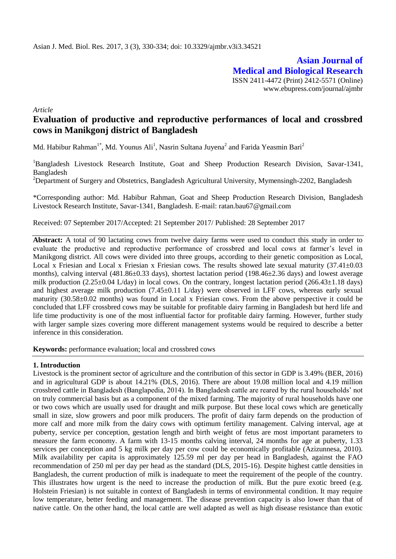**Asian Journal of Medical and Biological Research** ISSN 2411-4472 (Print) 2412-5571 (Online) www.ebupress.com/journal/ajmbr

*Article*

# **Evaluation of productive and reproductive performances of local and crossbred cows in Manikgonj district of Bangladesh**

Md. Habibur Rahman<sup>1\*</sup>, Md. Younus Ali<sup>1</sup>, Nasrin Sultana Juyena<sup>2</sup> and Farida Yeasmin Bari<sup>2</sup>

<sup>1</sup>Bangladesh Livestock Research Institute, Goat and Sheep Production Research Division, Savar-1341, Bangladesh

<sup>2</sup>Department of Surgery and Obstetrics, Bangladesh Agricultural University, Mymensingh-2202, Bangladesh

\*Corresponding author: Md. Habibur Rahman, Goat and Sheep Production Research Division, Bangladesh Livestock Research Institute, Savar-1341, Bangladesh. E-mail: ratan.bau67@gmail.com

Received: 07 September 2017/Accepted: 21 September 2017/ Published: 28 September 2017

**Abstract:** A total of 90 lactating cows from twelve dairy farms were used to conduct this study in order to evaluate the productive and reproductive performance of crossbred and local cows at farmer's level in Manikgong district. All cows were divided into three groups, according to their genetic composition as Local, Local x Friesian and Local x Friesian x Friesian cows. The results showed late sexual maturity  $(37.41\pm0.03$ months), calving interval (481.86±0.33 days), shortest lactation period (198.46±2.36 days) and lowest average milk production  $(2.25\pm0.04 \text{ L/day})$  in local cows. On the contrary, longest lactation period  $(266.43\pm1.18 \text{ days})$ and highest average milk production  $(7.45\pm0.11 \text{ L/day})$  were observed in LFF cows, whereas early sexual maturity (30.58±0.02 months) was found in Local x Friesian cows. From the above perspective it could be concluded that LFF crossbred cows may be suitable for profitable dairy farming in Bangladesh but herd life and life time productivity is one of the most influential factor for profitable dairy farming. However, further study with larger sample sizes covering more different management systems would be required to describe a better inference in this consideration.

**Keywords:** performance evaluation; local and crossbred cows

#### **1. Introduction**

Livestock is the prominent sector of agriculture and the contribution of this sector in GDP is 3.49% (BER, 2016) and in agricultural GDP is about 14.21% (DLS, 2016). There are about 19.08 million local and 4.19 million crossbred cattle in Bangladesh (Banglapedia, 2014). In Bangladesh cattle are reared by the rural households' not on truly commercial basis but as a component of the mixed farming. The majority of rural households have one or two cows which are usually used for draught and milk purpose. But these local cows which are genetically small in size, slow growers and poor milk producers. The profit of dairy farm depends on the production of more calf and more milk from the dairy cows with optimum fertility management. Calving interval, age at puberty, service per conception, gestation length and birth weight of fetus are most important parameters to measure the farm economy. A farm with 13-15 months calving interval, 24 months for age at puberty, 1.33 services per conception and 5 kg milk per day per cow could be economically profitable (Azizunnesa, 2010). Milk availability per capita is approximately 125.59 ml per day per head in Bangladesh, against the FAO recommendation of 250 ml per day per head as the standard (DLS, 2015-16). Despite highest cattle densities in Bangladesh, the current production of milk is inadequate to meet the requirement of the people of the country. This illustrates how urgent is the need to increase the production of milk. But the pure exotic breed (e.g. Holstein Friesian) is not suitable in context of Bangladesh in terms of environmental condition. It may require low temperature, better feeding and management. The disease prevention capacity is also lower than that of native cattle. On the other hand, the local cattle are well adapted as well as high disease resistance than exotic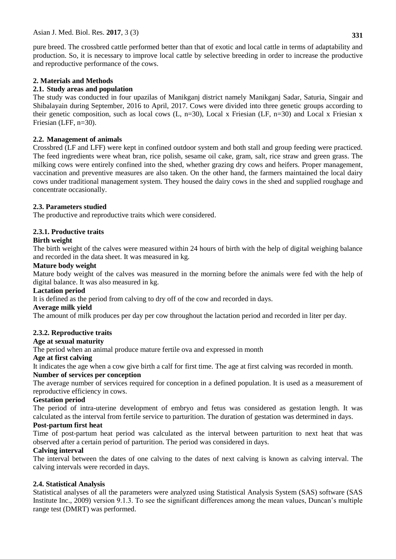pure breed. The crossbred cattle performed better than that of exotic and local cattle in terms of adaptability and production. So, it is necessary to improve local cattle by selective breeding in order to increase the productive and reproductive performance of the cows.

### **2. Materials and Methods**

### **2.1. Study areas and population**

The study was conducted in four upazilas of Manikganj district namely Manikganj Sadar, Saturia, Singair and Shibalayain during September, 2016 to April, 2017. Cows were divided into three genetic groups according to their genetic composition, such as local cows (L, n=30), Local x Friesian (LF, n=30) and Local x Friesian x Friesian (LFF, n=30).

### **2.2. Management of animals**

Crossbred (LF and LFF) were kept in confined outdoor system and both stall and group feeding were practiced. The feed ingredients were wheat bran, rice polish, sesame oil cake, gram, salt, rice straw and green grass. The milking cows were entirely confined into the shed, whether grazing dry cows and heifers. Proper management, vaccination and preventive measures are also taken. On the other hand, the farmers maintained the local dairy cows under traditional management system. They housed the dairy cows in the shed and supplied roughage and concentrate occasionally.

# **2.3. Parameters studied**

The productive and reproductive traits which were considered.

# **2.3.1. Productive traits**

### **Birth weight**

The birth weight of the calves were measured within 24 hours of birth with the help of digital weighing balance and recorded in the data sheet. It was measured in kg.

### **Mature body weight**

Mature body weight of the calves was measured in the morning before the animals were fed with the help of digital balance. It was also measured in kg.

### **Lactation period**

It is defined as the period from calving to dry off of the cow and recorded in days.

#### **Average milk yield**

The amount of milk produces per day per cow throughout the lactation period and recorded in liter per day.

### **2.3.2. Reproductive traits**

### **Age at sexual maturity**

The period when an animal produce mature fertile ova and expressed in month

### **Age at first calving**

It indicates the age when a cow give birth a calf for first time. The age at first calving was recorded in month.

#### **Number of services per conception**

The average number of services required for conception in a defined population. It is used as a measurement of reproductive efficiency in cows.

### **Gestation period**

The period of intra-uterine development of embryo and fetus was considered as gestation length. It was calculated as the interval from fertile service to parturition. The duration of gestation was determined in days.

### **Post-partum first heat**

Time of post-partum heat period was calculated as the interval between parturition to next heat that was observed after a certain period of parturition. The period was considered in days.

### **Calving interval**

The interval between the dates of one calving to the dates of next calving is known as calving interval. The calving intervals were recorded in days.

### **2.4. Statistical Analysis**

Statistical analyses of all the parameters were analyzed using Statistical Analysis System (SAS) software (SAS Institute Inc., 2009) version 9.1.3. To see the significant differences among the mean values, Duncan's multiple range test (DMRT) was performed.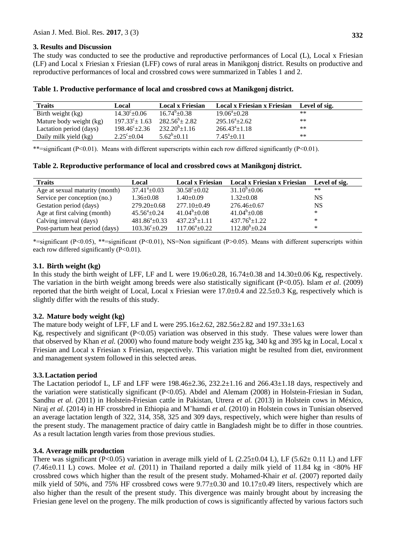#### **3. Results and Discussion**

The study was conducted to see the productive and reproductive performances of Local (L), Local x Friesian (LF) and Local x Friesian x Friesian (LFF) cows of rural areas in Manikgonj district. Results on productive and reproductive performances of local and crossbred cows were summarized in Tables 1 and 2.

| <b>Traits</b>           | Local                   | <b>Local x Friesian</b> | <b>Local x Friesian x Friesian</b> | Level of sig. |
|-------------------------|-------------------------|-------------------------|------------------------------------|---------------|
| Birth weight (kg)       | $14.30^{\circ}$ ± 0.06  | $16.74^{b} + 0.38$      | $19.06^{\circ}$ + 0.28             | $**$          |
| Mature body weight (kg) | $197.33^{\circ}$ ± 1.63 | $282.56^b \pm 2.82$     | $295.16^a \pm 2.62$                | $***$         |
| Lactation period (days) | $198.46^{\circ}$ ± 2.36 | $232.20^b \pm 1.16$     | $266.43^{\circ} \pm 1.18$          | **            |
| Daily milk yield (kg)   | $2.25^{\circ}+0.04$     | $5.62^b \pm 0.11$       | $7.45^{\circ}$ + 0.11              | $**$          |

**Table 1. Productive performance of local and crossbred cows at Manikgonj district.**

\*\*=significant (P<0.01). Means with different superscripts within each row differed significantly (P<0.01).

| <b>Traits</b>                  | Local                     | <b>Local x Friesian</b> | Local x Friesian x Friesian | Level of sig. |
|--------------------------------|---------------------------|-------------------------|-----------------------------|---------------|
| Age at sexual maturity (month) | $37.41^{\circ}+0.03$      | $30.58^{\circ}+0.02$    | $31.10^{\circ}$ ±0.06       | **            |
| Service per conception (no.)   | $1.36 \pm 0.08$           | $1.40 \pm 0.09$         | $1.32 \pm 0.08$             | <b>NS</b>     |
| Gestation period (days)        | $279.20 \pm 0.68$         | $277.10 \pm 0.49$       | $276.46 \pm 0.67$           | <b>NS</b>     |
| Age at first calving (month)   | $45.56^{\circ}+0.24$      | $41.04^b \pm 0.08$      | $41.04^b \pm 0.08$          | *             |
| Calving interval (days)        | $481.86^a \pm 0.33$       | $437.23^{b} \pm 1.11$   | $437.76^b \pm 1.22$         | *             |
| Post-partum heat period (days) | $103.36^{\circ} \pm 0.29$ | $117.06^{\circ}$ ±0.22  | $112.80^{\rm b}$ ±0.24      | ∗             |

\*=significant (P $<0.05$ ), \*\*=significant (P $<0.01$ ), NS=Non significant (P $>0.05$ ). Means with different superscripts within each row differed significantly (P<0.01).

#### **3.1. Birth weight (kg)**

In this study the birth weight of LFF, LF and L were 19.06±0.28, 16.74±0.38 and 14.30±0.06 Kg, respectively. The variation in the birth weight among breeds were also statistically significant (P<0.05). Islam *et al*. (2009) reported that the birth weight of Local, Local x Friesian were 17.0±0.4 and 22.5±0.3 Kg, respectively which is slightly differ with the results of this study.

### **3.2. Mature body weight (kg)**

The mature body weight of LFF, LF and L were 295.16±2.62, 282.56±2.82 and 197.33±1.63

Kg, respectively and significant  $(P<0.05)$  variation was observed in this study. These values were lower than that observed by Khan *et al.* (2000) who found mature body weight 235 kg, 340 kg and 395 kg in Local, Local x Friesian and Local x Friesian x Friesian, respectively. This variation might be resulted from diet, environment and management system followed in this selected areas.

### **3.3.Lactation period**

The Lactation periodof L, LF and LFF were  $198.46\pm 2.36$ ,  $232.2\pm 1.16$  and  $266.43\pm 1.18$  days, respectively and the variation were statistically significant (P<0.05). Abdel and Alemam (2008) in Holstein-Friesian in Sudan, Sandhu *et al*. (2011) in Holstein-Friesian cattle in Pakistan, Utrera *et al.* (2013) in Holstein cows in México, Niraj *et al.* (2014) in HF crossbred in Ethiopia and M'hamdi *et al.* (2010) in Holstein cows in Tunisian observed an average lactation length of 322, 314, 358, 325 and 309 days, respectively, which were higher than results of the present study. The management practice of dairy cattle in Bangladesh might be to differ in those countries. As a result lactation length varies from those previous studies.

### **3.4. Average milk production**

There was significant (P<0.05) variation in average milk yield of L (2.25 $\pm$ 0.04 L), LF (5.62 $\pm$  0.11 L) and LFF  $(7.46\pm0.11 \text{ L})$  cows. Molee *et al.*  $(2011)$  in Thailand reported a daily milk yield of 11.84 kg in <80% HF crossbred cows which higher than the result of the present study. Mohamed-Khair *et al.* (2007) reported daily milk yield of 50%, and 75% HF crossbred cows were  $9.77\pm0.30$  and  $10.17\pm0.49$  liters, respectively which are also higher than the result of the present study. This divergence was mainly brought about by increasing the Friesian gene level on the progeny. The milk production of cows is significantly affected by various factors such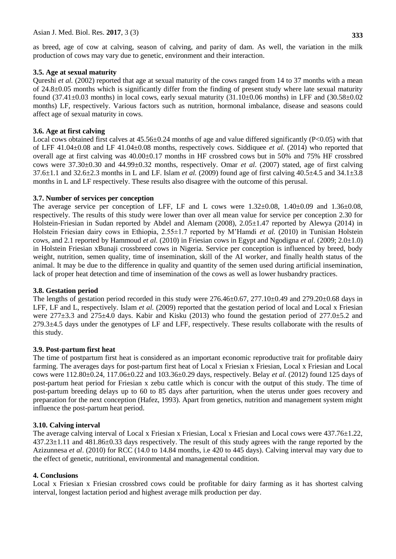#### **3.5. Age at sexual maturity**

Qureshi *et al.* (2002) reported that age at sexual maturity of the cows ranged from 14 to 37 months with a mean of 24.8±0.05 months which is significantly differ from the finding of present study where late sexual maturity found (37.41 $\pm$ 0.03 months) in local cows, early sexual maturity (31.10 $\pm$ 0.06 months) in LFF and (30.58 $\pm$ 0.02 months) LF, respectively. Various factors such as nutrition, hormonal imbalance, disease and seasons could affect age of sexual maturity in cows.

#### **3.6. Age at first calving**

Local cows obtained first calves at  $45.56\pm0.24$  months of age and value differed significantly (P<0.05) with that of LFF 41.04±0.08 and LF 41.04±0.08 months, respectively cows. Siddiquee *et al.* (2014) who reported that overall age at first calving was 40.00±0.17 months in HF crossbred cows but in 50% and 75% HF crossbred cows were 37.30±0.30 and 44.99±0.32 months, respectively. Omar *et al.* (2007) stated, age of first calving 37.6±1.1 and 32.6±2.3 months in L and LF. Islam *et al.* (2009) found age of first calving 40.5±4.5 and 34.1±3.8 months in L and LF respectively. These results also disagree with the outcome of this perusal.

#### **3.7. Number of services per conception**

The average service per conception of LFF, LF and L cows were 1.32±0.08, 1.40±0.09 and 1.36±0.08, respectively. The results of this study were lower than over all mean value for service per conception 2.30 for Holstein-Friesian in Sudan reported by Abdel and Alemam (2008), 2.05±1.47 reported by Alewya (2014) in Holstein Friesian dairy cows in Ethiopia, 2.55±1.7 reported by M'Hamdi *et al.* (2010) in Tunisian Holstein cows, and 2.1 reported by Hammoud *et al.* (2010) in Friesian cows in Egypt and Ngodigna *et al.* (2009; 2.0±1.0) in Holstein Friesian xBunaji crossbreed cows in Nigeria. Service per conception is influenced by breed, body weight, nutrition, semen quality, time of insemination, skill of the AI worker, and finally health status of the animal. It may be due to the difference in quality and quantity of the semen used during artificial insemination, lack of proper heat detection and time of insemination of the cows as well as lower husbandry practices.

#### **3.8. Gestation period**

The lengths of gestation period recorded in this study were  $276.46\pm0.67$ ,  $277.10\pm0.49$  and  $279.20\pm0.68$  days in LFF, LF and L, respectively. Islam *et al.* (2009) reported that the gestation period of local and Local x Friesian were 277 $\pm$ 3.3 and 275 $\pm$ 4.0 days. Kabir and Kisku (2013) who found the gestation period of 277.0 $\pm$ 5.2 and  $279.3\pm4.5$  days under the genotypes of LF and LFF, respectively. These results collaborate with the results of this study.

#### **3.9. Post-partum first heat**

The time of postpartum first heat is considered as an important economic reproductive trait for profitable dairy farming. The averages days for post-partum first heat of Local x Friesian x Friesian, Local x Friesian and Local cows were 112.80±0.24, 117.06±0.22 and 103.36±0.29 days, respectively. Belay *et al.* (2012) found 125 days of post-partum heat period for Friesian x zebu cattle which is concur with the output of this study. The time of post-partum breeding delays up to 60 to 85 days after parturition, when the uterus under goes recovery and preparation for the next conception (Hafez, 1993). Apart from genetics, nutrition and management system might influence the post-partum heat period.

### **3.10. Calving interval**

The average calving interval of Local x Friesian x Friesian, Local x Friesian and Local cows were 437.76±1.22, 437.23±1.11 and 481.86±0.33 days respectively. The result of this study agrees with the range reported by the Azizunnesa *et al*. (2010) for RCC (14.0 to 14.84 months, i.e 420 to 445 days). Calving interval may vary due to the effect of genetic, nutritional, environmental and managemental condition.

#### **4. Conclusions**

Local x Friesian x Friesian crossbred cows could be profitable for dairy farming as it has shortest calving interval, longest lactation period and highest average milk production per day.